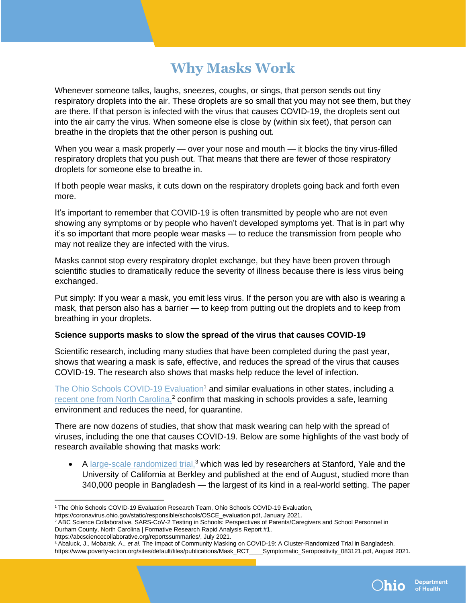## **Why Masks Work**

Whenever someone talks, laughs, sneezes, coughs, or sings, that person sends out tiny respiratory droplets into the air. These droplets are so small that you may not see them, but they are there. If that person is infected with the virus that causes COVID-19, the droplets sent out into the air carry the virus. When someone else is close by (within six feet), that person can breathe in the droplets that the other person is pushing out.

When you wear a mask properly — over your nose and mouth — it blocks the tiny virus-filled respiratory droplets that you push out. That means that there are fewer of those respiratory droplets for someone else to breathe in.

If both people wear masks, it cuts down on the respiratory droplets going back and forth even more.

It's important to remember that COVID-19 is often transmitted by people who are not even showing any symptoms or by people who haven't developed symptoms yet. That is in part why it's so important that more people wear masks — to reduce the transmission from people who may not realize they are infected with the virus.

Masks cannot stop every respiratory droplet exchange, but they have been proven through scientific studies to dramatically reduce the severity of illness because there is less virus being exchanged.

Put simply: If you wear a mask, you emit less virus. If the person you are with also is wearing a mask, that person also has a barrier — to keep from putting out the droplets and to keep from breathing in your droplets.

#### **Science supports masks to slow the spread of the virus that causes COVID-19**

Scientific research, including many studies that have been completed during the past year, shows that wearing a mask is safe, effective, and reduces the spread of the virus that causes COVID-19. The research also shows that masks help reduce the level of infection.

[The Ohio Schools COVID-19](https://coronavirus.ohio.gov/static/responsible/schools/OSCE_evaluation.pdf) Evaluation<sup>1</sup> and similar evaluations in other states, including a [recent one from North Carolina,](https://abcsciencecollaborative.org/reportssummaries/)<sup>2</sup> confirm that masking in schools provides a safe, learning environment and reduces the need, for quarantine.

There are now dozens of studies, that show that mask wearing can help with the spread of viruses, including the one that causes COVID-19. Below are some highlights of the vast body of research available showing that masks work:

• A large-scale randomized trial,<sup>3</sup> which was led by researchers at Stanford, Yale and the University of California at Berkley and published at the end of August, studied more than 340,000 people in Bangladesh — the largest of its kind in a real-world setting. The paper

https://abcsciencecollaborative.org/reportssummaries/, July 2021.

<sup>&</sup>lt;sup>3</sup> Abaluck, J., Mobarak, A., et al. The Impact of Community Masking on COVID-19: A Cluster-Randomized Trial in Bangladesh, https://www.poverty-action.org/sites/default/files/publications/Mask\_RCT\_\_\_\_Symptomatic\_Seropositivity\_083121.pdf, August 2021.



<sup>&</sup>lt;sup>1</sup> The Ohio Schools COVID-19 Evaluation Research Team, Ohio Schools COVID-19 Evaluation,

https://coronavirus.ohio.gov/static/responsible/schools/OSCE\_evaluation.pdf, January 2021.

<sup>2</sup> ABC Science Collaborative, SARS-CoV-2 Testing in Schools: Perspectives of Parents/Caregivers and School Personnel in Durham County, North Carolina | Formative Research Rapid Analysis Report #1,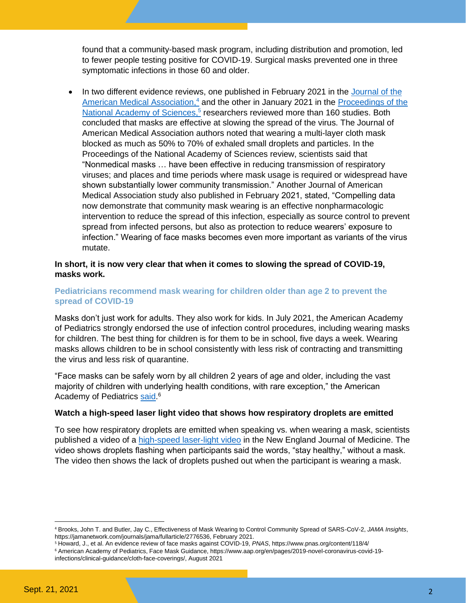found that a community-based mask program, including distribution and promotion, led to fewer people testing positive for COVID-19. Surgical masks prevented one in three symptomatic infections in those 60 and older.

In two different evidence reviews, one published in February 2021 in the Journal of the [American Medical Association,](https://jamanetwork.com/journals/jama/fullarticle/2776536)<sup>4</sup> and the other in January 2021 in the Proceedings of the [National Academy of Sciences,](https://www.pnas.org/content/118/4/e2014564118#abstract-1)<sup>5</sup> researchers reviewed more than 160 studies. Both concluded that masks are effective at slowing the spread of the virus. The Journal of American Medical Association authors noted that wearing a multi-layer cloth mask blocked as much as 50% to 70% of exhaled small droplets and particles. In the Proceedings of the National Academy of Sciences review, scientists said that "Nonmedical masks … have been effective in reducing transmission of respiratory viruses; and places and time periods where mask usage is required or widespread have shown substantially lower community transmission." Another Journal of American Medical Association study also published in February 2021, stated, "Compelling data now demonstrate that community mask wearing is an effective nonpharmacologic intervention to reduce the spread of this infection, especially as source control to prevent spread from infected persons, but also as protection to reduce wearers' exposure to infection." Wearing of face masks becomes even more important as variants of the virus mutate.

#### **In short, it is now very clear that when it comes to slowing the spread of COVID-19, masks work.**

#### **Pediatricians recommend mask wearing for children older than age 2 to prevent the spread of COVID-19**

Masks don't just work for adults. They also work for kids. In July 2021, the American Academy of Pediatrics strongly endorsed the use of infection control procedures, including wearing masks for children. The best thing for children is for them to be in school, five days a week. Wearing masks allows children to be in school consistently with less risk of contracting and transmitting the virus and less risk of quarantine.

"Face masks can be safely worn by all children 2 years of age and older, including the vast majority of children with underlying health conditions, with rare exception," the American Academy of Pediatrics [said.](https://www.aap.org/en/pages/2019-novel-coronavirus-covid-19-infections/clinical-guidance/cloth-face-coverings/)<sup>6</sup>

#### **Watch a high-speed laser light video that shows how respiratory droplets are emitted**

To see how respiratory droplets are emitted when speaking vs. when wearing a mask, scientists published a video of a [high-speed laser-light video](https://www.youtube.com/watch?app=desktop&v=UNHgQq0BGLI) in the New England Journal of Medicine. The video shows droplets flashing when participants said the words, "stay healthy," without a mask. The video then shows the lack of droplets pushed out when the participant is wearing a mask.

<sup>4</sup> Brooks, John T. and Butler, Jay C., Effectiveness of Mask Wearing to Control Community Spread of SARS-CoV-2, *JAMA Insights*, https://jamanetwork.com/journals/jama/fullarticle/2776536, February 2021.

<sup>5</sup> Howard, J., et al. An evidence review of face masks against COVID-19, *PNAS*, https://www.pnas.org/content/118/4/

<sup>6</sup> American Academy of Pediatrics, Face Mask Guidance, https://www.aap.org/en/pages/2019-novel-coronavirus-covid-19 infections/clinical-guidance/cloth-face-coverings/, August 2021